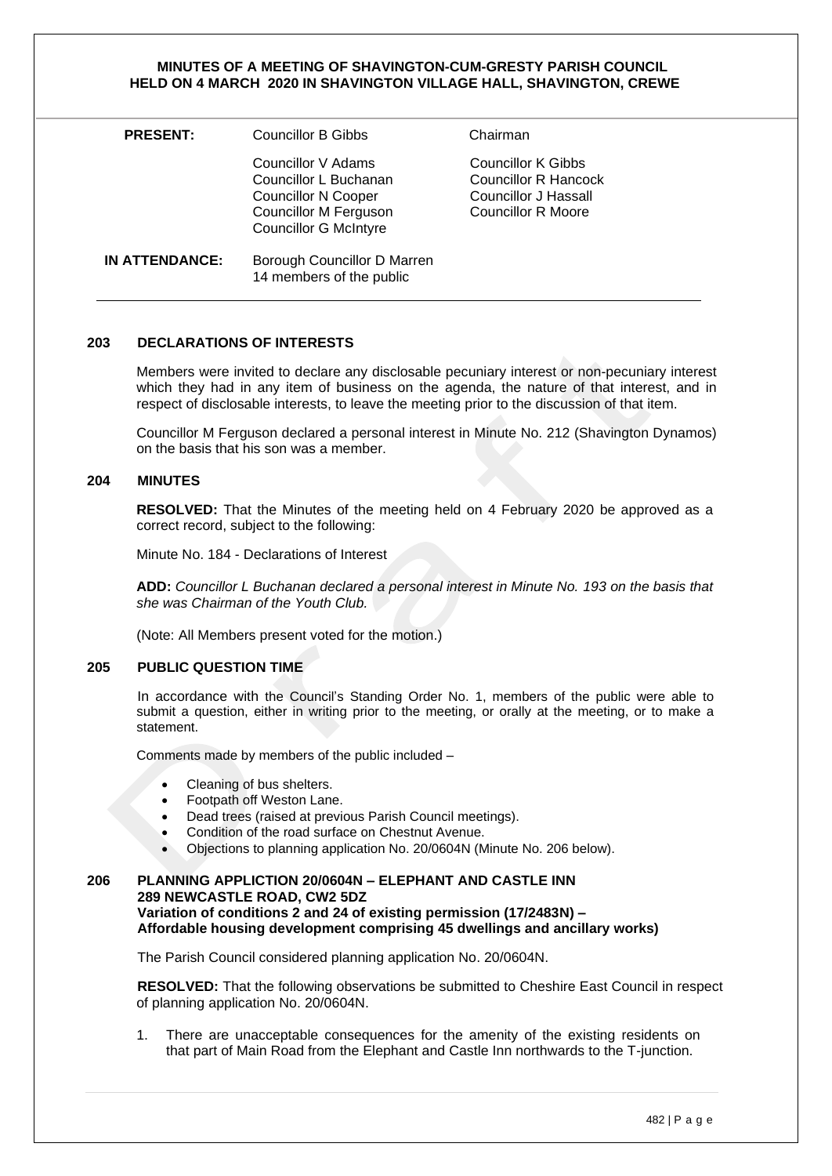#### **MINUTES OF A MEETING OF SHAVINGTON-CUM-GRESTY PARISH COUNCIL HELD ON 4 MARCH 2020 IN SHAVINGTON VILLAGE HALL, SHAVINGTON, CREWE**

| <b>PRESENT:</b> | Councillor B Gibbs                                                                                                                        | Chairman                                                                                 |
|-----------------|-------------------------------------------------------------------------------------------------------------------------------------------|------------------------------------------------------------------------------------------|
|                 | Councillor V Adams<br>Councillor L Buchanan<br><b>Councillor N Cooper</b><br><b>Councillor M Ferguson</b><br><b>Councillor G McIntyre</b> | Councillor K Gibbs<br>Councillor R Hancock<br>Councillor J Hassall<br>Councillor R Moore |
| IN ATTENDANCE:  | Borough Councillor D Marren<br>14 members of the public                                                                                   |                                                                                          |

### **203 DECLARATIONS OF INTERESTS**

Members were invited to declare any disclosable pecuniary interest or non-pecuniary interest which they had in any item of business on the agenda, the nature of that interest, and in respect of disclosable interests, to leave the meeting prior to the discussion of that item.

Councillor M Ferguson declared a personal interest in Minute No. 212 (Shavington Dynamos) on the basis that his son was a member.

### **204 MINUTES**

**RESOLVED:** That the Minutes of the meeting held on 4 February 2020 be approved as a correct record, subject to the following:

Minute No. 184 - Declarations of Interest

**ADD:** *Councillor L Buchanan declared a personal interest in Minute No. 193 on the basis that she was Chairman of the Youth Club.*

(Note: All Members present voted for the motion.)

# **205 PUBLIC QUESTION TIME**

In accordance with the Council's Standing Order No. 1, members of the public were able to submit a question, either in writing prior to the meeting, or orally at the meeting, or to make a statement.

Comments made by members of the public included –

- Cleaning of bus shelters.
- Footpath off Weston Lane.
- Dead trees (raised at previous Parish Council meetings).
- Condition of the road surface on Chestnut Avenue.
- Objections to planning application No. 20/0604N (Minute No. 206 below).

# **206 PLANNING APPLICTION 20/0604N – ELEPHANT AND CASTLE INN 289 NEWCASTLE ROAD, CW2 5DZ Variation of conditions 2 and 24 of existing permission (17/2483N) – Affordable housing development comprising 45 dwellings and ancillary works)**

The Parish Council considered planning application No. 20/0604N.

**RESOLVED:** That the following observations be submitted to Cheshire East Council in respect of planning application No. 20/0604N.

1. There are unacceptable consequences for the amenity of the existing residents on that part of Main Road from the Elephant and Castle Inn northwards to the T-junction.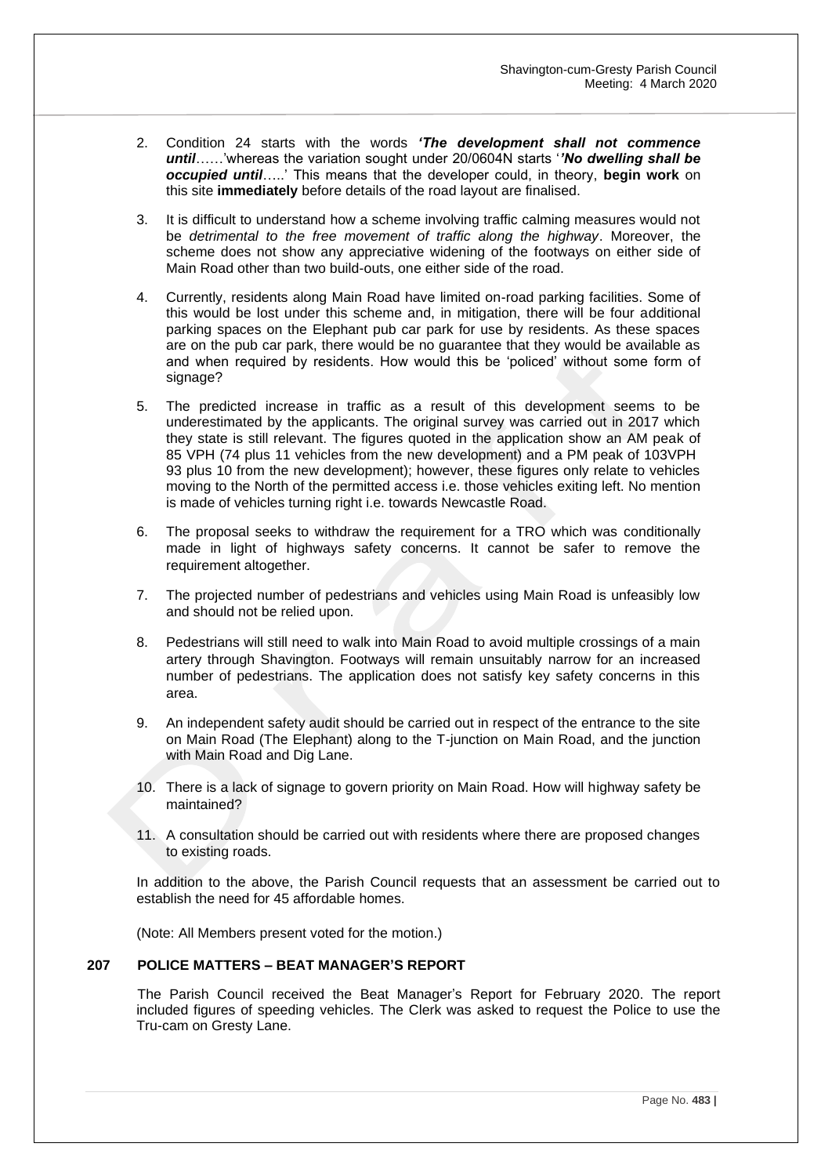- 2. Condition 24 starts with the words *'The development shall not commence until*……'whereas the variation sought under 20/0604N starts '*'No dwelling shall be occupied until*…..' This means that the developer could, in theory, **begin work** on this site **immediately** before details of the road layout are finalised.
- 3. It is difficult to understand how a scheme involving traffic calming measures would not be *detrimental to the free movement of traffic along the highway*. Moreover, the scheme does not show any appreciative widening of the footways on either side of Main Road other than two build-outs, one either side of the road.
- 4. Currently, residents along Main Road have limited on-road parking facilities. Some of this would be lost under this scheme and, in mitigation, there will be four additional parking spaces on the Elephant pub car park for use by residents. As these spaces are on the pub car park, there would be no guarantee that they would be available as and when required by residents. How would this be 'policed' without some form of signage?
- 5. The predicted increase in traffic as a result of this development seems to be underestimated by the applicants. The original survey was carried out in 2017 which they state is still relevant. The figures quoted in the application show an AM peak of 85 VPH (74 plus 11 vehicles from the new development) and a PM peak of 103VPH 93 plus 10 from the new development); however, these figures only relate to vehicles moving to the North of the permitted access i.e. those vehicles exiting left. No mention is made of vehicles turning right i.e. towards Newcastle Road.
- 6. The proposal seeks to withdraw the requirement for a TRO which was conditionally made in light of highways safety concerns. It cannot be safer to remove the requirement altogether.
- 7. The projected number of pedestrians and vehicles using Main Road is unfeasibly low and should not be relied upon.
- 8. Pedestrians will still need to walk into Main Road to avoid multiple crossings of a main artery through Shavington. Footways will remain unsuitably narrow for an increased number of pedestrians. The application does not satisfy key safety concerns in this area.
- 9. An independent safety audit should be carried out in respect of the entrance to the site on Main Road (The Elephant) along to the T-junction on Main Road, and the junction with Main Road and Dig Lane.
- 10. There is a lack of signage to govern priority on Main Road. How will highway safety be maintained?
- 11. A consultation should be carried out with residents where there are proposed changes to existing roads.

In addition to the above, the Parish Council requests that an assessment be carried out to establish the need for 45 affordable homes.

(Note: All Members present voted for the motion.)

#### **207 POLICE MATTERS – BEAT MANAGER'S REPORT**

The Parish Council received the Beat Manager's Report for February 2020. The report included figures of speeding vehicles. The Clerk was asked to request the Police to use the Tru-cam on Gresty Lane.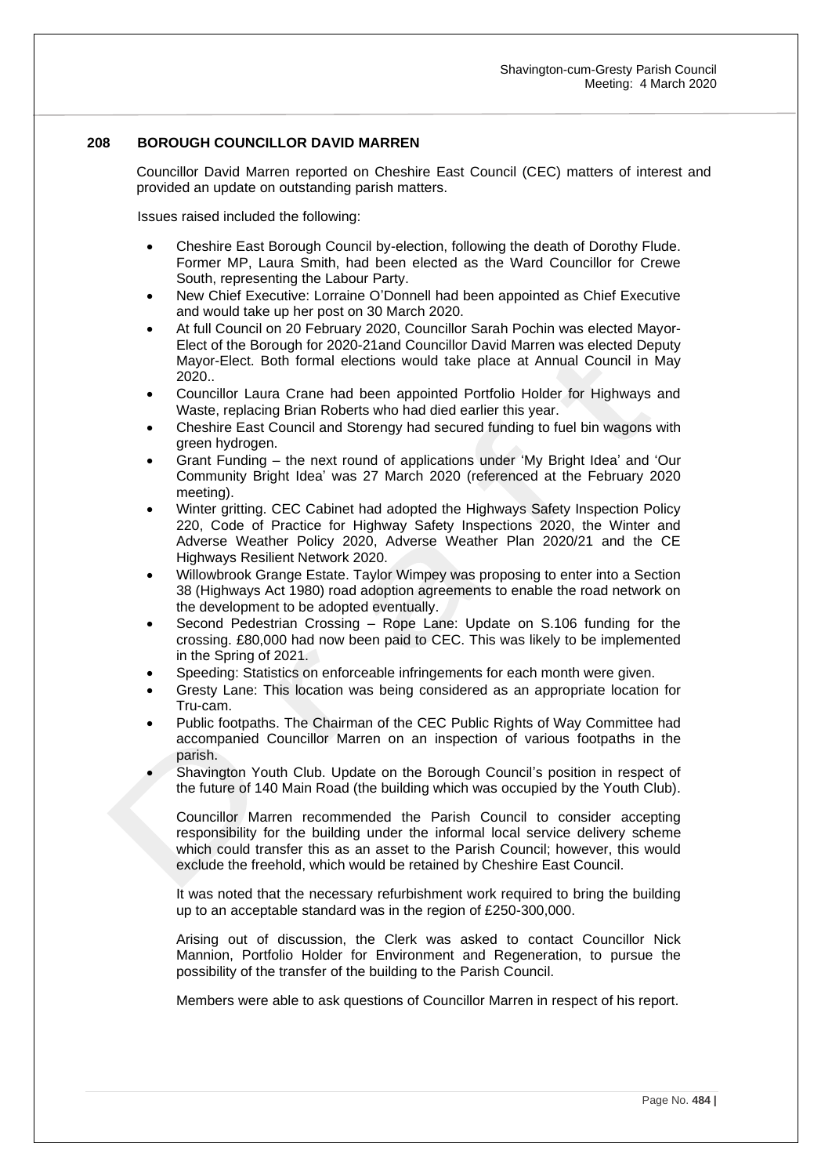# **208 BOROUGH COUNCILLOR DAVID MARREN**

Councillor David Marren reported on Cheshire East Council (CEC) matters of interest and provided an update on outstanding parish matters.

Issues raised included the following:

- Cheshire East Borough Council by-election, following the death of Dorothy Flude. Former MP, Laura Smith, had been elected as the Ward Councillor for Crewe South, representing the Labour Party.
- New Chief Executive: Lorraine O'Donnell had been appointed as Chief Executive and would take up her post on 30 March 2020.
- At full Council on 20 February 2020, Councillor Sarah Pochin was elected Mayor-Elect of the Borough for 2020-21and Councillor David Marren was elected Deputy Mayor-Elect. Both formal elections would take place at Annual Council in May 2020..
- Councillor Laura Crane had been appointed Portfolio Holder for Highways and Waste, replacing Brian Roberts who had died earlier this year.
- Cheshire East Council and Storengy had secured funding to fuel bin wagons with green hydrogen.
- Grant Funding the next round of applications under 'My Bright Idea' and 'Our Community Bright Idea' was 27 March 2020 (referenced at the February 2020 meeting).
- Winter gritting. CEC Cabinet had adopted the Highways Safety Inspection Policy 220, Code of Practice for Highway Safety Inspections 2020, the Winter and Adverse Weather Policy 2020, Adverse Weather Plan 2020/21 and the CE Highways Resilient Network 2020.
- Willowbrook Grange Estate. Taylor Wimpey was proposing to enter into a Section 38 (Highways Act 1980) road adoption agreements to enable the road network on the development to be adopted eventually.
- Second Pedestrian Crossing Rope Lane: Update on S.106 funding for the crossing. £80,000 had now been paid to CEC. This was likely to be implemented in the Spring of 2021.
- Speeding: Statistics on enforceable infringements for each month were given.
- Gresty Lane: This location was being considered as an appropriate location for Tru-cam.
- Public footpaths. The Chairman of the CEC Public Rights of Way Committee had accompanied Councillor Marren on an inspection of various footpaths in the parish.
- Shavington Youth Club. Update on the Borough Council's position in respect of the future of 140 Main Road (the building which was occupied by the Youth Club).

Councillor Marren recommended the Parish Council to consider accepting responsibility for the building under the informal local service delivery scheme which could transfer this as an asset to the Parish Council; however, this would exclude the freehold, which would be retained by Cheshire East Council.

It was noted that the necessary refurbishment work required to bring the building up to an acceptable standard was in the region of £250-300,000.

Arising out of discussion, the Clerk was asked to contact Councillor Nick Mannion, Portfolio Holder for Environment and Regeneration, to pursue the possibility of the transfer of the building to the Parish Council.

Members were able to ask questions of Councillor Marren in respect of his report.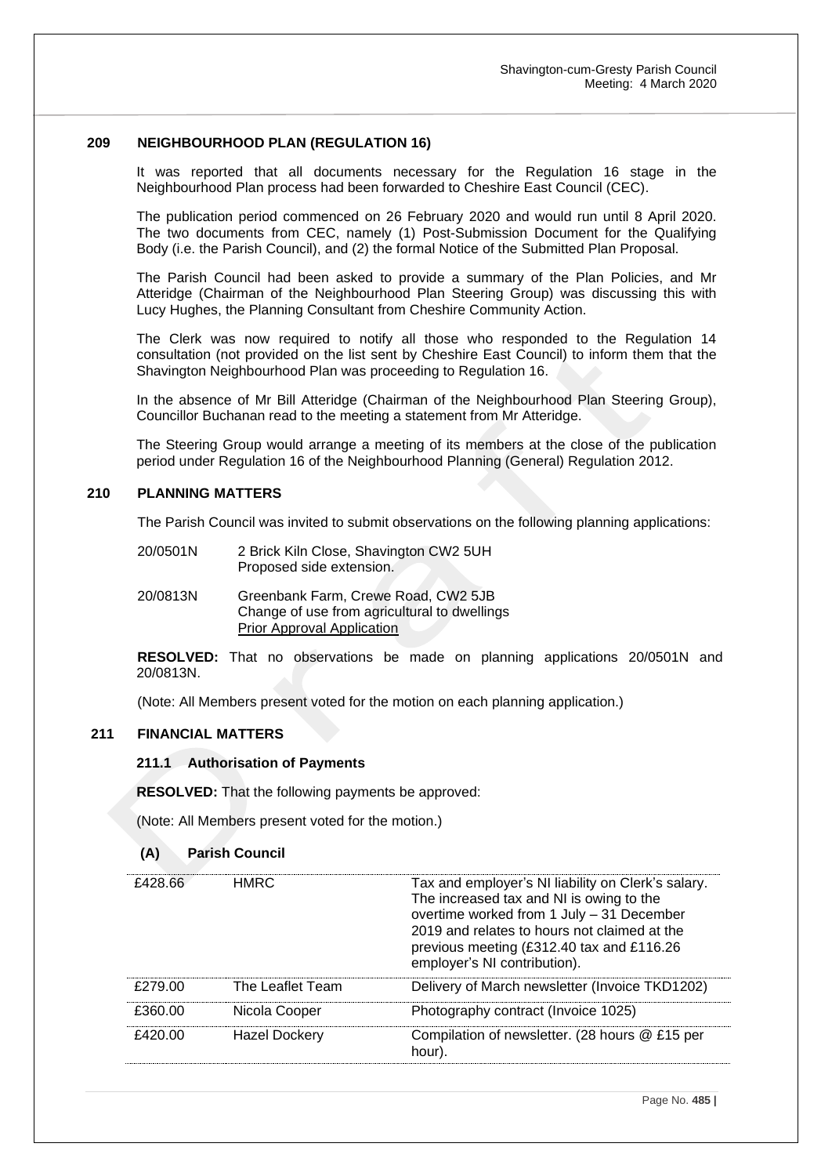#### **209 NEIGHBOURHOOD PLAN (REGULATION 16)**

It was reported that all documents necessary for the Regulation 16 stage in the Neighbourhood Plan process had been forwarded to Cheshire East Council (CEC).

The publication period commenced on 26 February 2020 and would run until 8 April 2020. The two documents from CEC, namely (1) Post-Submission Document for the Qualifying Body (i.e. the Parish Council), and (2) the formal Notice of the Submitted Plan Proposal.

The Parish Council had been asked to provide a summary of the Plan Policies, and Mr Atteridge (Chairman of the Neighbourhood Plan Steering Group) was discussing this with Lucy Hughes, the Planning Consultant from Cheshire Community Action.

The Clerk was now required to notify all those who responded to the Regulation 14 consultation (not provided on the list sent by Cheshire East Council) to inform them that the Shavington Neighbourhood Plan was proceeding to Regulation 16.

In the absence of Mr Bill Atteridge (Chairman of the Neighbourhood Plan Steering Group), Councillor Buchanan read to the meeting a statement from Mr Atteridge.

The Steering Group would arrange a meeting of its members at the close of the publication period under Regulation 16 of the Neighbourhood Planning (General) Regulation 2012.

# **210 PLANNING MATTERS**

The Parish Council was invited to submit observations on the following planning applications:

| 20/0501N | 2 Brick Kiln Close, Shavington CW2 5UH |
|----------|----------------------------------------|
|          | Proposed side extension.               |

20/0813N Greenbank Farm, Crewe Road, CW2 5JB Change of use from agricultural to dwellings Prior Approval Application

**RESOLVED:** That no observations be made on planning applications 20/0501N and 20/0813N.

(Note: All Members present voted for the motion on each planning application.)

# **211 FINANCIAL MATTERS**

#### **211.1 Authorisation of Payments**

**RESOLVED:** That the following payments be approved:

(Note: All Members present voted for the motion.)

#### **(A) Parish Council**

| £428.66 | HMRC.                | Tax and employer's NI liability on Clerk's salary.<br>The increased tax and NI is owing to the<br>overtime worked from 1 July - 31 December<br>2019 and relates to hours not claimed at the<br>previous meeting (£312.40 tax and £116.26<br>employer's NI contribution). |
|---------|----------------------|--------------------------------------------------------------------------------------------------------------------------------------------------------------------------------------------------------------------------------------------------------------------------|
| £279.00 | The Leaflet Team     | Delivery of March newsletter (Invoice TKD1202)                                                                                                                                                                                                                           |
| £360.00 | Nicola Cooper        | Photography contract (Invoice 1025)                                                                                                                                                                                                                                      |
| £420.00 | <b>Hazel Dockery</b> | Compilation of newsletter. (28 hours @ £15 per<br>hour).                                                                                                                                                                                                                 |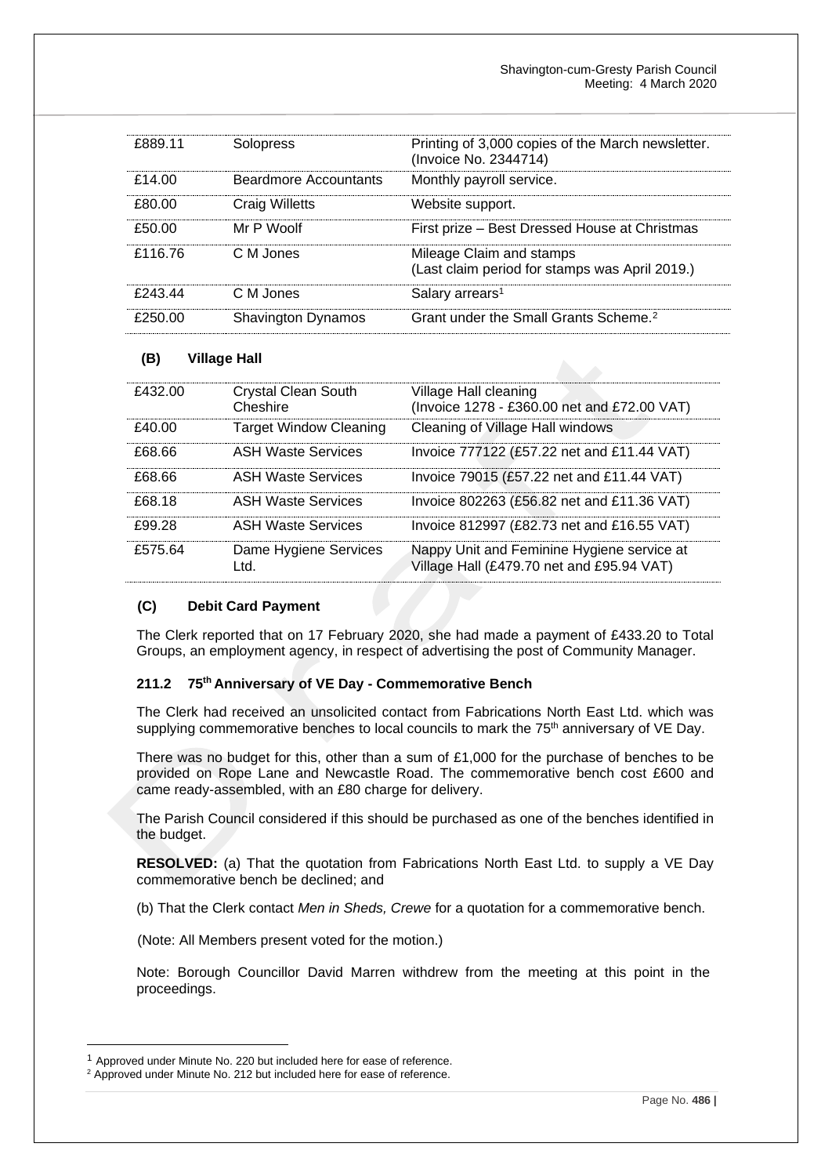| £889.11 | Solopress                 | Printing of 3,000 copies of the March newsletter.<br>(Invoice No. 2344714) |
|---------|---------------------------|----------------------------------------------------------------------------|
| £14.00  | Beardmore Accountants     | Monthly payroll service.                                                   |
| £80.00  | Craig Willetts            | Website support.                                                           |
| £50.00  | Mr P Woolf                | First prize - Best Dressed House at Christmas                              |
| £116.76 | C.M.Jones                 | Mileage Claim and stamps<br>(Last claim period for stamps was April 2019.) |
| F24344  | C.M.Jones                 | Salary arrears <sup>1</sup>                                                |
| £250.00 | <b>Shavington Dynamos</b> | Grant under the Small Grants Scheme. <sup>2</sup>                          |

# **(B) Village Hall**

| £432.00 | <b>Crystal Clean South</b><br>Cheshire | Village Hall cleaning<br>(Invoice 1278 - £360.00 net and £72.00 VAT)                    |
|---------|----------------------------------------|-----------------------------------------------------------------------------------------|
| £40.00  | <b>Target Window Cleaning</b>          | Cleaning of Village Hall windows                                                        |
| A68 66  | ASH Waste Services                     | Invoice 777122 (£57.22 net and £11.44 VAT)                                              |
| A68 66  | ASH Waste Services                     | Invoice 79015 (£57.22 net and £11.44 VAT)                                               |
| £68.18  | ASH Waste Services                     | Invoice 802263 (£56.82 net and £11.36 VAT)                                              |
| £99.28  | ASH Waste Services                     | Invoice 812997 (£82.73 net and £16.55 VAT)                                              |
| £575.64 | Dame Hygiene Services<br>Ltd.          | Nappy Unit and Feminine Hygiene service at<br>Village Hall (£479.70 net and £95.94 VAT) |

## **(C) Debit Card Payment**

The Clerk reported that on 17 February 2020, she had made a payment of £433.20 to Total Groups, an employment agency, in respect of advertising the post of Community Manager.

### **211.2 75th Anniversary of VE Day - Commemorative Bench**

The Clerk had received an unsolicited contact from Fabrications North East Ltd. which was supplying commemorative benches to local councils to mark the  $75<sup>th</sup>$  anniversary of VE Day.

There was no budget for this, other than a sum of £1,000 for the purchase of benches to be provided on Rope Lane and Newcastle Road. The commemorative bench cost £600 and came ready-assembled, with an £80 charge for delivery.

The Parish Council considered if this should be purchased as one of the benches identified in the budget.

**RESOLVED:** (a) That the quotation from Fabrications North East Ltd. to supply a VE Day commemorative bench be declined; and

(b) That the Clerk contact *Men in Sheds, Crewe* for a quotation for a commemorative bench.

(Note: All Members present voted for the motion.)

Note: Borough Councillor David Marren withdrew from the meeting at this point in the proceedings.

<sup>&</sup>lt;sup>1</sup> Approved under Minute No. 220 but included here for ease of reference.

<sup>&</sup>lt;sup>2</sup> Approved under Minute No. 212 but included here for ease of reference.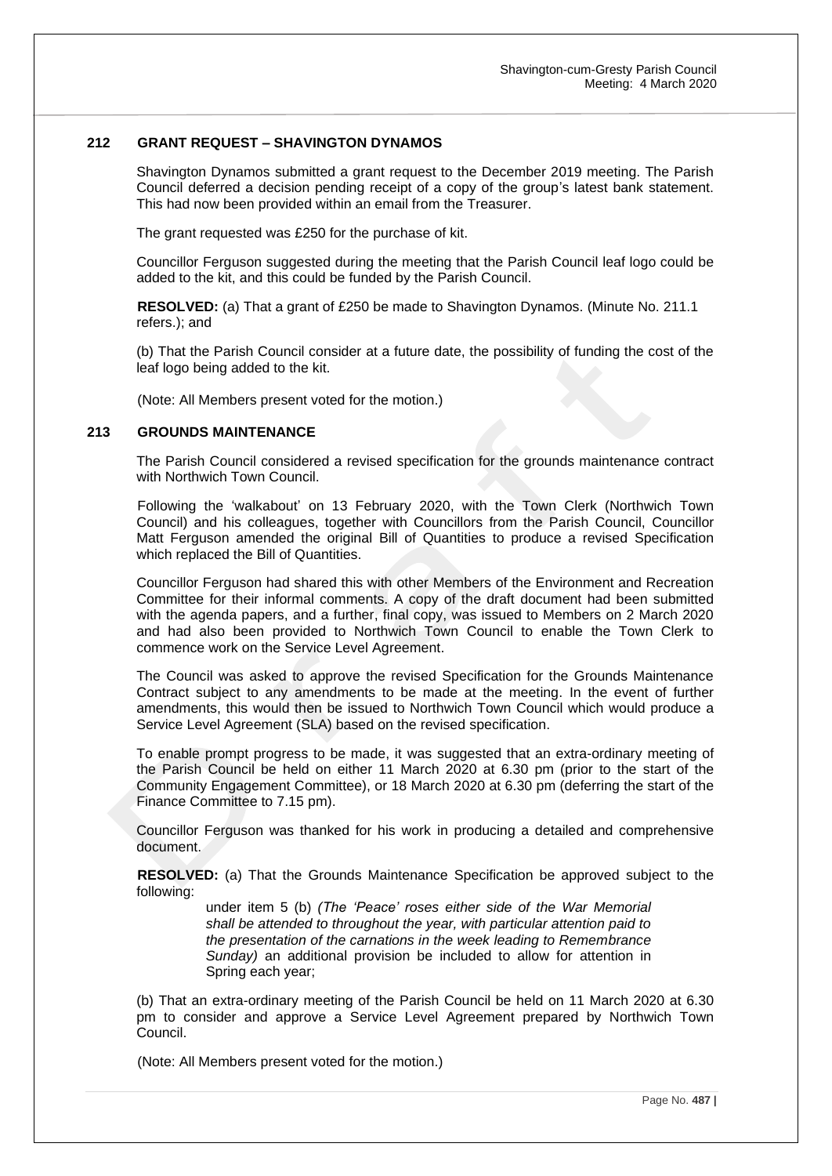# **212 GRANT REQUEST – SHAVINGTON DYNAMOS**

Shavington Dynamos submitted a grant request to the December 2019 meeting. The Parish Council deferred a decision pending receipt of a copy of the group's latest bank statement. This had now been provided within an email from the Treasurer.

The grant requested was £250 for the purchase of kit.

Councillor Ferguson suggested during the meeting that the Parish Council leaf logo could be added to the kit, and this could be funded by the Parish Council.

**RESOLVED:** (a) That a grant of £250 be made to Shavington Dynamos. (Minute No. 211.1 refers.); and

(b) That the Parish Council consider at a future date, the possibility of funding the cost of the leaf logo being added to the kit.

(Note: All Members present voted for the motion.)

#### **213 GROUNDS MAINTENANCE**

The Parish Council considered a revised specification for the grounds maintenance contract with Northwich Town Council.

Following the 'walkabout' on 13 February 2020, with the Town Clerk (Northwich Town Council) and his colleagues, together with Councillors from the Parish Council, Councillor Matt Ferguson amended the original Bill of Quantities to produce a revised Specification which replaced the Bill of Quantities.

Councillor Ferguson had shared this with other Members of the Environment and Recreation Committee for their informal comments. A copy of the draft document had been submitted with the agenda papers, and a further, final copy, was issued to Members on 2 March 2020 and had also been provided to Northwich Town Council to enable the Town Clerk to commence work on the Service Level Agreement.

The Council was asked to approve the revised Specification for the Grounds Maintenance Contract subject to any amendments to be made at the meeting. In the event of further amendments, this would then be issued to Northwich Town Council which would produce a Service Level Agreement (SLA) based on the revised specification.

To enable prompt progress to be made, it was suggested that an extra-ordinary meeting of the Parish Council be held on either 11 March 2020 at 6.30 pm (prior to the start of the Community Engagement Committee), or 18 March 2020 at 6.30 pm (deferring the start of the Finance Committee to 7.15 pm).

Councillor Ferguson was thanked for his work in producing a detailed and comprehensive document.

**RESOLVED:** (a) That the Grounds Maintenance Specification be approved subject to the following:

> under item 5 (b) *(The 'Peace' roses either side of the War Memorial shall be attended to throughout the year, with particular attention paid to the presentation of the carnations in the week leading to Remembrance Sunday)* an additional provision be included to allow for attention in Spring each year;

(b) That an extra-ordinary meeting of the Parish Council be held on 11 March 2020 at 6.30 pm to consider and approve a Service Level Agreement prepared by Northwich Town Council.

(Note: All Members present voted for the motion.)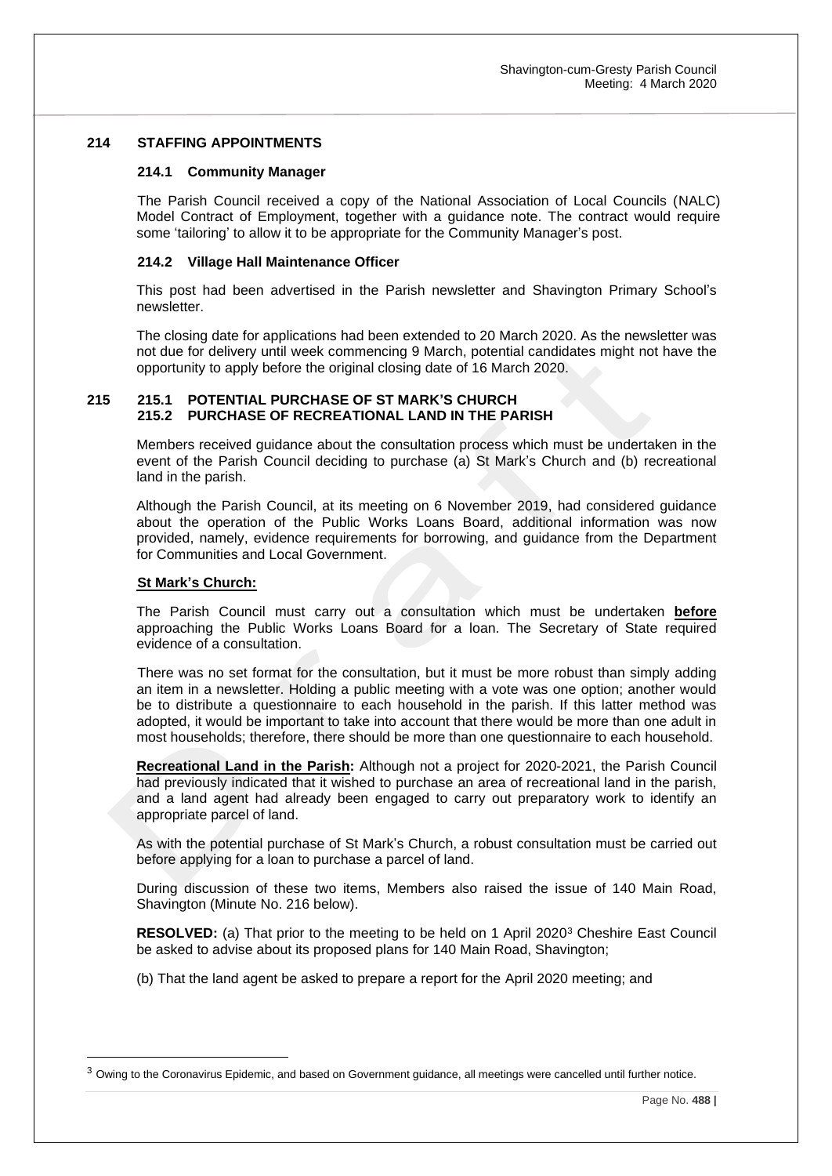# **214 STAFFING APPOINTMENTS**

#### **214.1 Community Manager**

The Parish Council received a copy of the National Association of Local Councils (NALC) Model Contract of Employment, together with a guidance note. The contract would require some 'tailoring' to allow it to be appropriate for the Community Manager's post.

### **214.2 Village Hall Maintenance Officer**

This post had been advertised in the Parish newsletter and Shavington Primary School's newsletter.

The closing date for applications had been extended to 20 March 2020. As the newsletter was not due for delivery until week commencing 9 March, potential candidates might not have the opportunity to apply before the original closing date of 16 March 2020.

### **215 215.1 POTENTIAL PURCHASE OF ST MARK'S CHURCH 215.2 PURCHASE OF RECREATIONAL LAND IN THE PARISH**

Members received guidance about the consultation process which must be undertaken in the event of the Parish Council deciding to purchase (a) St Mark's Church and (b) recreational land in the parish.

Although the Parish Council, at its meeting on 6 November 2019, had considered guidance about the operation of the Public Works Loans Board, additional information was now provided, namely, evidence requirements for borrowing, and guidance from the Department for Communities and Local Government.

### **St Mark's Church:**

The Parish Council must carry out a consultation which must be undertaken **before**  approaching the Public Works Loans Board for a loan. The Secretary of State required evidence of a consultation.

There was no set format for the consultation, but it must be more robust than simply adding an item in a newsletter. Holding a public meeting with a vote was one option; another would be to distribute a questionnaire to each household in the parish. If this latter method was adopted, it would be important to take into account that there would be more than one adult in most households; therefore, there should be more than one questionnaire to each household.

**Recreational Land in the Parish:** Although not a project for 2020-2021, the Parish Council had previously indicated that it wished to purchase an area of recreational land in the parish, and a land agent had already been engaged to carry out preparatory work to identify an appropriate parcel of land.

As with the potential purchase of St Mark's Church, a robust consultation must be carried out before applying for a loan to purchase a parcel of land.

During discussion of these two items, Members also raised the issue of 140 Main Road, Shavington (Minute No. 216 below).

**RESOLVED:** (a) That prior to the meeting to be held on 1 April 2020<sup>3</sup> Cheshire East Council be asked to advise about its proposed plans for 140 Main Road, Shavington;

(b) That the land agent be asked to prepare a report for the April 2020 meeting; and

<sup>3</sup> Owing to the Coronavirus Epidemic, and based on Government guidance, all meetings were cancelled until further notice.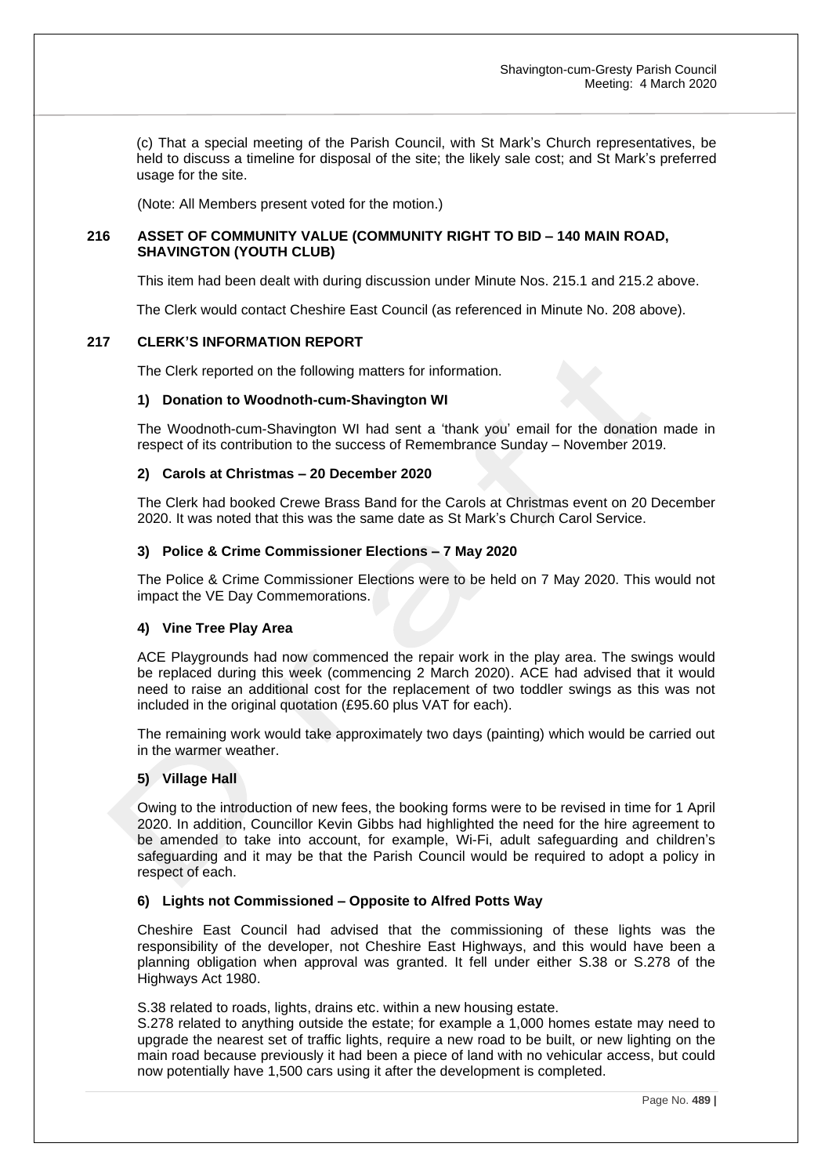(c) That a special meeting of the Parish Council, with St Mark's Church representatives, be held to discuss a timeline for disposal of the site; the likely sale cost; and St Mark's preferred usage for the site.

(Note: All Members present voted for the motion.)

# **216 ASSET OF COMMUNITY VALUE (COMMUNITY RIGHT TO BID – 140 MAIN ROAD, SHAVINGTON (YOUTH CLUB)**

This item had been dealt with during discussion under Minute Nos. 215.1 and 215.2 above.

The Clerk would contact Cheshire East Council (as referenced in Minute No. 208 above).

# **217 CLERK'S INFORMATION REPORT**

The Clerk reported on the following matters for information.

# **1) Donation to Woodnoth-cum-Shavington WI**

The Woodnoth-cum-Shavington WI had sent a 'thank you' email for the donation made in respect of its contribution to the success of Remembrance Sunday – November 2019.

# **2) Carols at Christmas – 20 December 2020**

The Clerk had booked Crewe Brass Band for the Carols at Christmas event on 20 December 2020. It was noted that this was the same date as St Mark's Church Carol Service.

# **3) Police & Crime Commissioner Elections – 7 May 2020**

The Police & Crime Commissioner Elections were to be held on 7 May 2020. This would not impact the VE Day Commemorations.

# **4) Vine Tree Play Area**

ACE Playgrounds had now commenced the repair work in the play area. The swings would be replaced during this week (commencing 2 March 2020). ACE had advised that it would need to raise an additional cost for the replacement of two toddler swings as this was not included in the original quotation (£95.60 plus VAT for each).

The remaining work would take approximately two days (painting) which would be carried out in the warmer weather.

# **5) Village Hall**

Owing to the introduction of new fees, the booking forms were to be revised in time for 1 April 2020. In addition, Councillor Kevin Gibbs had highlighted the need for the hire agreement to be amended to take into account, for example, Wi-Fi, adult safeguarding and children's safeguarding and it may be that the Parish Council would be required to adopt a policy in respect of each.

#### **6) Lights not Commissioned – Opposite to Alfred Potts Way**

Cheshire East Council had advised that the commissioning of these lights was the responsibility of the developer, not Cheshire East Highways, and this would have been a planning obligation when approval was granted. It fell under either S.38 or S.278 of the Highways Act 1980.

S.38 related to roads, lights, drains etc. within a new housing estate.

S.278 related to anything outside the estate; for example a 1,000 homes estate may need to upgrade the nearest set of traffic lights, require a new road to be built, or new lighting on the main road because previously it had been a piece of land with no vehicular access, but could now potentially have 1,500 cars using it after the development is completed.